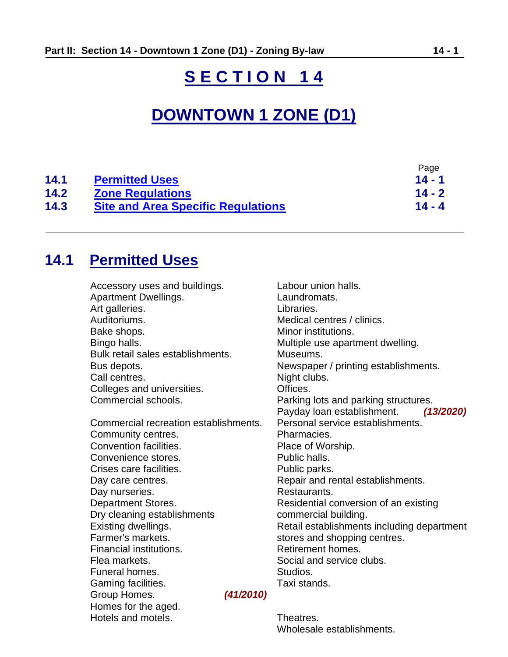# **S E C T I O N 1 4**

# **DOWNTOWN 1 ZONE (D1)**

|      |                                           | Page     |
|------|-------------------------------------------|----------|
| 14.1 | <b>Permitted Uses</b>                     | $14 - 1$ |
| 14.2 | <b>Zone Regulations</b>                   | $14 - 2$ |
| 14.3 | <b>Site and Area Specific Regulations</b> | $14 - 4$ |

# <span id="page-0-0"></span>**14.1 Permitted Uses**

| Accessory uses and buildings.         | Labour union halls.                        |
|---------------------------------------|--------------------------------------------|
| <b>Apartment Dwellings.</b>           | Laundromats.                               |
| Art galleries.                        | Libraries.                                 |
| Auditoriums.                          | Medical centres / clinics.                 |
| Bake shops.                           | Minor institutions.                        |
| Bingo halls.                          | Multiple use apartment dwelling.           |
| Bulk retail sales establishments.     | Museums.                                   |
| Bus depots.                           | Newspaper / printing establishments.       |
| Call centres.                         | Night clubs.                               |
| Colleges and universities.            | Offices.                                   |
| Commercial schools.                   | Parking lots and parking structures.       |
|                                       | Payday loan establishment.<br>(13/2020)    |
| Commercial recreation establishments. | Personal service establishments.           |
| Community centres.                    | Pharmacies.                                |
| Convention facilities.                | Place of Worship.                          |
| Convenience stores.                   | Public halls.                              |
| Crises care facilities.               | Public parks.                              |
| Day care centres.                     | Repair and rental establishments.          |
| Day nurseries.                        | Restaurants.                               |
| <b>Department Stores.</b>             | Residential conversion of an existing      |
| Dry cleaning establishments           | commercial building.                       |
| Existing dwellings.                   | Retail establishments including department |
| Farmer's markets.                     | stores and shopping centres.               |
| Financial institutions.               | Retirement homes.                          |
| Flea markets.                         | Social and service clubs.                  |
| Funeral homes.                        | Studios.                                   |
| Gaming facilities.                    | Taxi stands.                               |
| Group Homes.<br>(41/2010)             |                                            |
| Homes for the aged.                   |                                            |
| Hotels and motels.                    | Theatres.                                  |

Wholesale establishments.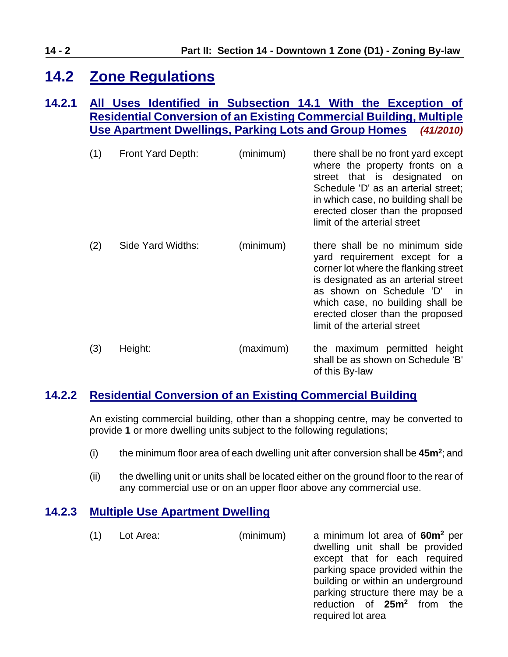# <span id="page-1-0"></span>**14.2 Zone Regulations**

### **14.2.1 All Uses Identified in Subsection 14.1 With the Exception of Residential Conversion of an Existing Commercial Building, Multiple Use Apartment Dwellings, Parking Lots and Group Homes** *(41/2010)*

| (1) | Front Yard Depth: | (minimum) | there shall be no front yard except<br>where the property fronts on a<br>street that is designated<br>on<br>Schedule 'D' as an arterial street;<br>in which case, no building shall be<br>erected closer than the proposed<br>limit of the arterial street                                |
|-----|-------------------|-----------|-------------------------------------------------------------------------------------------------------------------------------------------------------------------------------------------------------------------------------------------------------------------------------------------|
| (2) | Side Yard Widths: | (minimum) | there shall be no minimum side<br>yard requirement except for a<br>corner lot where the flanking street<br>is designated as an arterial street<br>as shown on Schedule 'D'<br>-in<br>which case, no building shall be<br>erected closer than the proposed<br>limit of the arterial street |
| (3) | Height:           | (maximum) | the maximum permitted height<br>shall be as shown on Schedule 'B'<br>of this By-law                                                                                                                                                                                                       |

### <span id="page-1-1"></span>**14.2.2 Residential Conversion of an Existing Commercial Building**

An existing commercial building, other than a shopping centre, may be converted to provide **1** or more dwelling units subject to the following regulations;

- (i) the minimum floor area of each dwelling unit after conversion shall be **45m<sup>2</sup>** ; and
- (ii) the dwelling unit or units shall be located either on the ground floor to the rear of any commercial use or on an upper floor above any commercial use.

### **14.2.3 Multiple Use Apartment Dwelling**

(1) Lot Area: (minimum) a minimum lot area of **60m<sup>2</sup>** per dwelling unit shall be provided except that for each required parking space provided within the building or within an underground parking structure there may be a reduction of **25m<sup>2</sup>** from the required lot area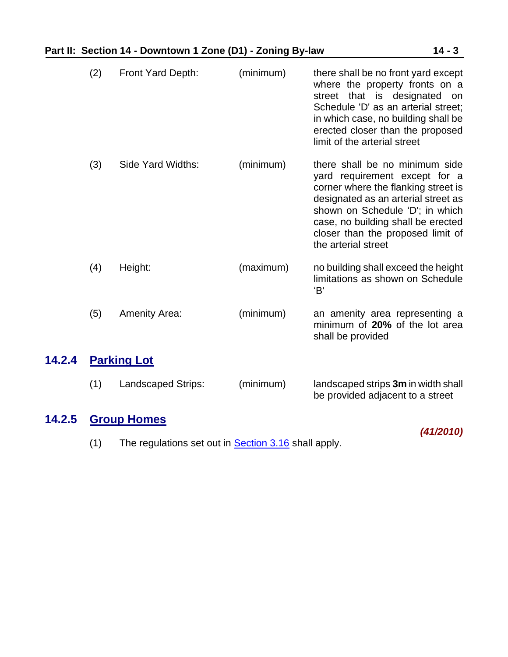|  |  |  |  | Part II: Section 14 - Downtown 1 Zone (D1) - Zoning By-law | $14 - 3$ |
|--|--|--|--|------------------------------------------------------------|----------|
|--|--|--|--|------------------------------------------------------------|----------|

| (2) | Front Yard Depth:    | (minimum) | there shall be no front yard except<br>where the property fronts on a<br>street that is designated<br>on<br>Schedule 'D' as an arterial street;<br>in which case, no building shall be<br>erected closer than the proposed<br>limit of the arterial street                         |
|-----|----------------------|-----------|------------------------------------------------------------------------------------------------------------------------------------------------------------------------------------------------------------------------------------------------------------------------------------|
| (3) | Side Yard Widths:    | (minimum) | there shall be no minimum side<br>yard requirement except for a<br>corner where the flanking street is<br>designated as an arterial street as<br>shown on Schedule 'D'; in which<br>case, no building shall be erected<br>closer than the proposed limit of<br>the arterial street |
| (4) | Height:              | (maximum) | no building shall exceed the height<br>limitations as shown on Schedule<br>'B'                                                                                                                                                                                                     |
| (5) | <b>Amenity Area:</b> | (minimum) | an amenity area representing a<br>minimum of 20% of the lot area<br>shall be provided                                                                                                                                                                                              |
|     | <b>Parking Lot</b>   |           |                                                                                                                                                                                                                                                                                    |
| (1) | Landscaped Strips:   | (minimum) | landscaped strips 3m in width shall<br>be provided adjacent to a street                                                                                                                                                                                                            |

# **14.2.5 Group Homes**

<span id="page-2-0"></span>**14.2.4** 

*(41/2010)*

(1) The regulations set out in **Section 3.16** shall apply.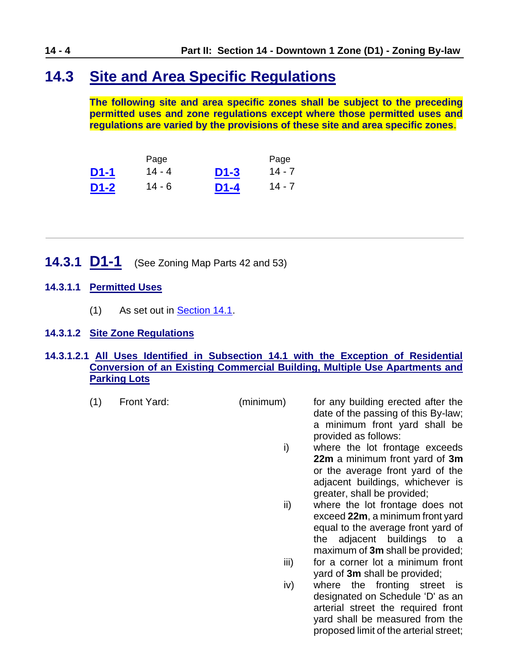## <span id="page-3-0"></span>**14.3 Site and Area Specific Regulations**

**The following site and area specific zones shall be subject to the preceding permitted uses and zone regulations except where those permitted uses and regulations are varied by the provisions of these site and area specific zones**.

|        | Page     |        | Page     |
|--------|----------|--------|----------|
| $D1-1$ | $14 - 4$ | $D1-3$ | $14 - 7$ |
| D1-2   | 14 - 6   | $D1-4$ | $14 - 7$ |

- <span id="page-3-1"></span>**14.3.1 D1-1** (See Zoning Map Parts 42 and 53)
- **14.3.1.1 Permitted Uses**
	- (1) As set out in **Section 14.1**.

#### **14.3.1.2 Site Zone Regulations**

#### **14.3.1.2.1 All Uses Identified in Subsection 14.1 with the Exception of Residential Conversion of an Existing Commercial Building, Multiple Use Apartments and Parking Lots**

- (1) Front Yard: (minimum) for any building erected after the date of the passing of this By-law; a minimum front yard shall be provided as follows: i) where the lot frontage exceeds **22m** a minimum front yard of **3m** or the average front yard of the adjacent buildings, whichever is greater, shall be provided; ii) where the lot frontage does not exceed **22m**, a minimum front yard
	- equal to the average front yard of the adjacent buildings to a maximum of **3m** shall be provided;
	- iii) for a corner lot a minimum front yard of **3m** shall be provided;
	- iv) where the fronting street is designated on Schedule 'D' as an arterial street the required front yard shall be measured from the proposed limit of the arterial street;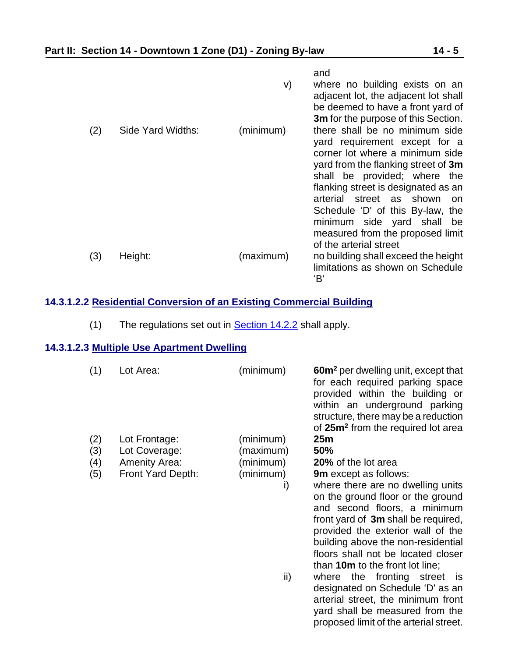|     |                   |           | and                                                    |
|-----|-------------------|-----------|--------------------------------------------------------|
|     |                   | V)        | where no building exists on an                         |
|     |                   |           | adjacent lot, the adjacent lot shall                   |
|     |                   |           | be deemed to have a front yard of                      |
|     |                   |           | 3m for the purpose of this Section.                    |
| (2) | Side Yard Widths: | (minimum) | there shall be no minimum side                         |
|     |                   |           | yard requirement except for a                          |
|     |                   |           | corner lot where a minimum side                        |
|     |                   |           | yard from the flanking street of 3m                    |
|     |                   |           | shall be provided; where the                           |
|     |                   |           | flanking street is designated as an<br>street as shown |
|     |                   |           | arterial<br>on<br>Schedule 'D' of this By-law, the     |
|     |                   |           | minimum side yard shall<br>be                          |
|     |                   |           | measured from the proposed limit                       |
|     |                   |           | of the arterial street                                 |
| (3) | Height:           | (maximum) | no building shall exceed the height                    |
|     |                   |           | limitations as shown on Schedule                       |
|     |                   |           | 'B'                                                    |

#### **14.3.1.2.2 Residential Conversion of an Existing Commercial Building**

(1) The regulations set out in **Section 14.2.2** shall apply.

#### **14.3.1.2.3 Multiple Use Apartment Dwelling**

| (1) | Lot Area:            | (minimum) | <b>60m<sup>2</sup></b> per dwelling unit, except that<br>for each required parking space<br>provided within the building or<br>within an underground parking<br>structure, there may be a reduction<br>of 25m <sup>2</sup> from the required lot area                                             |
|-----|----------------------|-----------|---------------------------------------------------------------------------------------------------------------------------------------------------------------------------------------------------------------------------------------------------------------------------------------------------|
| (2) | Lot Frontage:        | (minimum) | 25m                                                                                                                                                                                                                                                                                               |
| (3) | Lot Coverage:        | (maximum) | 50%                                                                                                                                                                                                                                                                                               |
| (4) | <b>Amenity Area:</b> | (minimum) | 20% of the lot area                                                                                                                                                                                                                                                                               |
| (5) | Front Yard Depth:    | (minimum) | <b>9m</b> except as follows:                                                                                                                                                                                                                                                                      |
|     |                      | i)        | where there are no dwelling units<br>on the ground floor or the ground<br>and second floors, a minimum<br>front yard of 3m shall be required,<br>provided the exterior wall of the<br>building above the non-residential<br>floors shall not be located closer<br>than 10m to the front lot line; |
|     |                      | ii)       | the fronting street is<br>where<br>designated on Schedule 'D' as an<br>arterial street, the minimum front                                                                                                                                                                                         |

yard shall be measured from the proposed limit of the arterial street.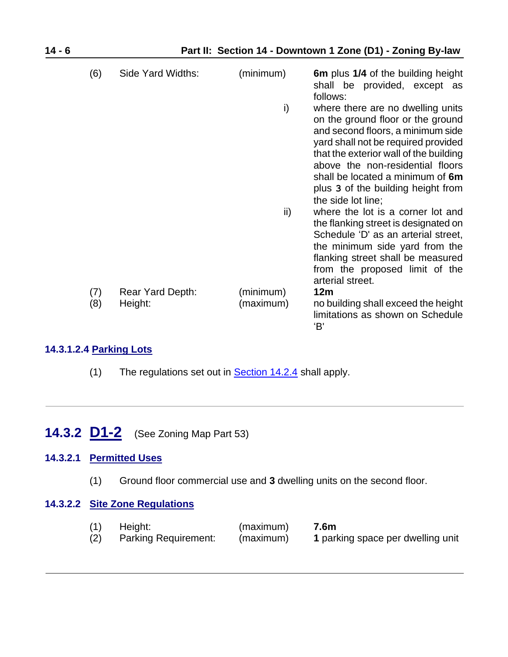| (6)        | Side Yard Widths:           | (minimum)              | 6m plus 1/4 of the building height<br>shall be provided, except as<br>follows:                                                                                                                                                                                                                                                   |
|------------|-----------------------------|------------------------|----------------------------------------------------------------------------------------------------------------------------------------------------------------------------------------------------------------------------------------------------------------------------------------------------------------------------------|
|            |                             | i)                     | where there are no dwelling units<br>on the ground floor or the ground<br>and second floors, a minimum side<br>yard shall not be required provided<br>that the exterior wall of the building<br>above the non-residential floors<br>shall be located a minimum of 6m<br>plus 3 of the building height from<br>the side lot line: |
|            |                             | ii)                    | where the lot is a corner lot and<br>the flanking street is designated on<br>Schedule 'D' as an arterial street,<br>the minimum side yard from the<br>flanking street shall be measured<br>from the proposed limit of the<br>arterial street.                                                                                    |
| (7)<br>(8) | Rear Yard Depth:<br>Height: | (minimum)<br>(maximum) | 12m<br>no building shall exceed the height<br>limitations as shown on Schedule<br>'В'                                                                                                                                                                                                                                            |

#### **14.3.1.2.4 Parking Lots**

- (1) The regulations set out in  $Section 14.2.4$  shall apply.
- <span id="page-5-0"></span>**14.3.2 D1-2** (See Zoning Map Part 53)

#### **14.3.2.1 Permitted Uses**

(1) Ground floor commercial use and **3** dwelling units on the second floor.

#### **14.3.2.2 Site Zone Regulations**

(1) Height: (maximum) **7.6m** (2) Parking Requirement: (maximum) **1** parking space per dwelling unit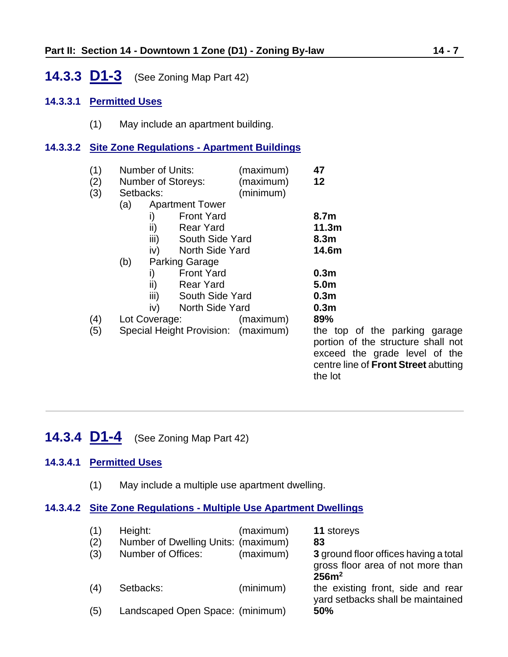## <span id="page-6-0"></span>**14.3.3 D1-3** (See Zoning Map Part 42)

#### **14.3.3.1 Permitted Uses**

(1) May include an apartment building.

#### **14.3.3.2 Site Zone Regulations - Apartment Buildings**

| (1)<br>(2)<br>(3) |     | Number of Units:<br><b>Number of Storeys:</b><br>Setbacks: | (maximum)<br>(maximum)<br>(minimum) | 47<br>12                                                                                                                                                       |
|-------------------|-----|------------------------------------------------------------|-------------------------------------|----------------------------------------------------------------------------------------------------------------------------------------------------------------|
|                   | (a) | <b>Apartment Tower</b>                                     |                                     |                                                                                                                                                                |
|                   |     | <b>Front Yard</b><br>i)                                    |                                     | 8.7m                                                                                                                                                           |
|                   |     | ii)<br><b>Rear Yard</b>                                    |                                     | 11.3m                                                                                                                                                          |
|                   |     | iii)<br>South Side Yard                                    |                                     | 8.3 <sub>m</sub>                                                                                                                                               |
|                   |     | North Side Yard<br>iv)                                     |                                     | 14.6m                                                                                                                                                          |
|                   | (b) | <b>Parking Garage</b>                                      |                                     |                                                                                                                                                                |
|                   |     | <b>Front Yard</b><br>i)                                    |                                     | 0.3 <sub>m</sub>                                                                                                                                               |
|                   |     | ii)<br><b>Rear Yard</b>                                    |                                     | 5.0m                                                                                                                                                           |
|                   |     | iii)<br>South Side Yard                                    |                                     | 0.3 <sub>m</sub>                                                                                                                                               |
|                   |     | North Side Yard<br>iv)                                     |                                     | 0.3 <sub>m</sub>                                                                                                                                               |
| (4)               |     | Lot Coverage:                                              | (maximum)                           | 89%                                                                                                                                                            |
| (5)               |     | Special Height Provision: (maximum)                        |                                     | the top of the parking garage<br>portion of the structure shall not<br>exceed the grade level of the<br>centre line of <b>Front Street</b> abutting<br>the lot |

## <span id="page-6-1"></span>**14.3.4 D1-4** (See Zoning Map Part 42)

#### **14.3.4.1 Permitted Uses**

(1) May include a multiple use apartment dwelling.

#### **14.3.4.2 Site Zone Regulations - Multiple Use Apartment Dwellings**

| (1)<br>(2) | Height:<br>Number of Dwelling Units: (maximum) | (maximum) | 11 storeys<br>83                                                                                |
|------------|------------------------------------------------|-----------|-------------------------------------------------------------------------------------------------|
| (3)        | Number of Offices:                             | (maximum) | 3 ground floor offices having a total<br>gross floor area of not more than<br>256m <sup>2</sup> |
| (4)        | Setbacks:                                      | (minimum) | the existing front, side and rear<br>yard setbacks shall be maintained                          |
| (5)        | Landscaped Open Space: (minimum)               |           | 50%                                                                                             |